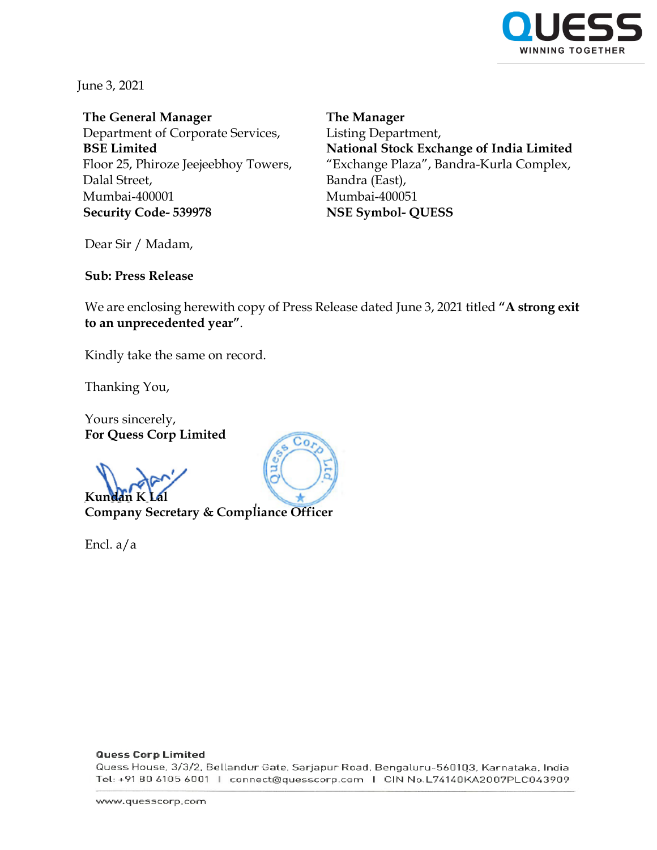

June 3, 2021

**The General Manager** Department of Corporate Services, **BSE Limited** Floor 25, Phiroze Jeejeebhoy Towers, Dalal Street, Mumbai-400001 **Security Code- 539978**

**The Manager** Listing Department, **National Stock Exchange of India Limited** "Exchange Plaza", Bandra-Kurla Complex, Bandra (East), Mumbai-400051 **NSE Symbol- QUESS**

Dear Sir / Madam,

**Sub: Press Release** 

We are enclosing herewith copy of Press Release dated June 3, 2021 titled **"A strong exit to an unprecedented year"**.

Kindly take the same on record.

Thanking You,

Yours sincerely, **For Quess Corp Limited**

**Kun** 

**Company Secretary & Compliance Officer**

Encl. a/a



#### **Quess Corp Limited**

Quess House, 3/3/2, Bellandur Gate, Sarjapur Road, Bengaluru-560103, Karnataka, India Tel: +91 80 6105 6001 | connect@quesscorp.com | CIN No.L74140KA2007PLC043909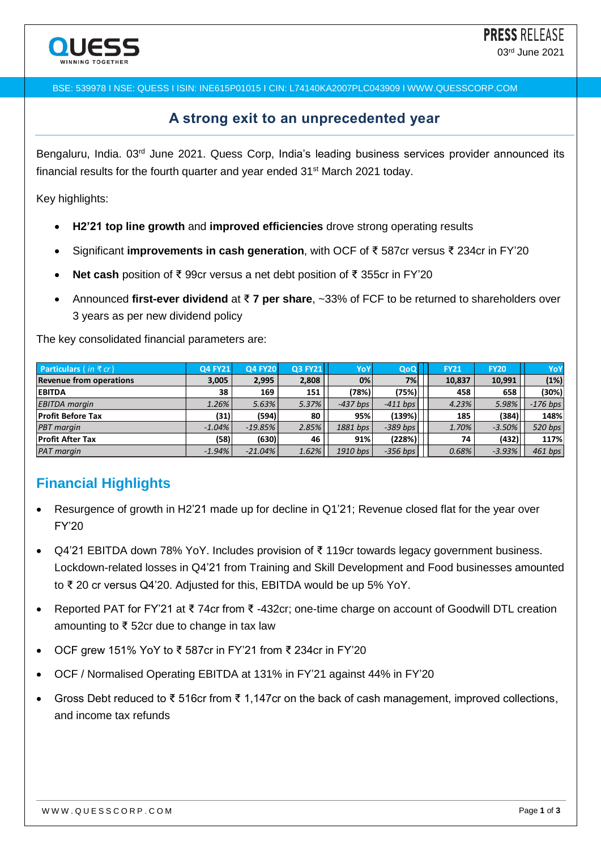

BSE: 539978 I NSE: QUESS I ISIN: INE615P01015 I CIN: L74140KA2007PLC043909 I WWW.QUESSCORP.COM

### **A strong exit to an unprecedented year**

Bengaluru, India. 03<sup>rd</sup> June 2021. Quess Corp, India's leading business services provider announced its financial results for the fourth quarter and year ended 31<sup>st</sup> March 2021 today.

Key highlights:

- **H2'21 top line growth** and **improved efficiencies** drove strong operating results
- Significant **improvements in cash generation**, with OCF of ₹ 587cr versus ₹ 234cr in FY'20
- **Net cash** position of ₹ 99cr versus a net debt position of ₹ 355cr in FY'20
- Announced **first-ever dividend** at ₹ **7 per share**, ~33% of FCF to be returned to shareholders over 3 years as per new dividend policy

The key consolidated financial parameters are:

| <b>Particulars</b> (in $\bar{\tau}$ cr) | <b>Q4 FY21</b> | <b>Q4 FY20</b> | <b>Q3 FY21</b> | YoY        | QoQ        | <b>FY21</b> | <b>FY20</b> | YoY        |
|-----------------------------------------|----------------|----------------|----------------|------------|------------|-------------|-------------|------------|
| <b>Revenue from operations</b>          | 3.005          | 2,995          | 2,808          | 0%         | 7%         | 10.837      | 10,991      | (1%)       |
| <b>EBITDA</b>                           | 38             | 169            | 151            | (78%)      | (75%)      | 458         | 658         | (30%)      |
| <b>EBITDA</b> margin                    | 1.26%          | 5.63%          | 5.37%          | $-437$ bps | $-411$ bps | 4.23%       | 5.98%       | $-176$ bps |
| <b>Profit Before Tax</b>                | (31)           | (594)          | 80             | 95%        | (139%)     | 185         | (384)       | 148%       |
| <b>PBT</b> margin                       | $-1.04\%$      | $-19.85%$      | 2.85%          | 1881 bps   | $-389$ bps | 1.70%       | $-3.50%$    | 520 bps    |
| <b>Profit After Tax</b>                 | (58)           | (630)          | 46             | 91%        | (228%)     | 74          | (432)       | 117%       |
| <b>PAT</b> margin                       | $-1.94\%$      | $-21.04%$      | 1.62%          | 1910 bps   | $-356$ bps | 0.68%       | $-3.93%$    | $461$ bps  |

# **Financial Highlights**

- Resurgence of growth in H2'21 made up for decline in Q1'21; Revenue closed flat for the year over FY'20
- Q4'21 EBITDA down 78% YoY. Includes provision of ₹ 119cr towards legacy government business. Lockdown-related losses in Q4'21 from Training and Skill Development and Food businesses amounted to ₹ 20 cr versus Q4'20. Adjusted for this, EBITDA would be up 5% YoY.
- Reported PAT for FY'21 at ₹ 74cr from ₹ -432cr; one-time charge on account of Goodwill DTL creation amounting to ₹ 52cr due to change in tax law
- OCF grew 151% YoY to ₹ 587cr in FY'21 from ₹ 234cr in FY'20
- OCF / Normalised Operating EBITDA at 131% in FY'21 against 44% in FY'20
- Gross Debt reduced to ₹ 516cr from ₹ 1,147cr on the back of cash management, improved collections, and income tax refunds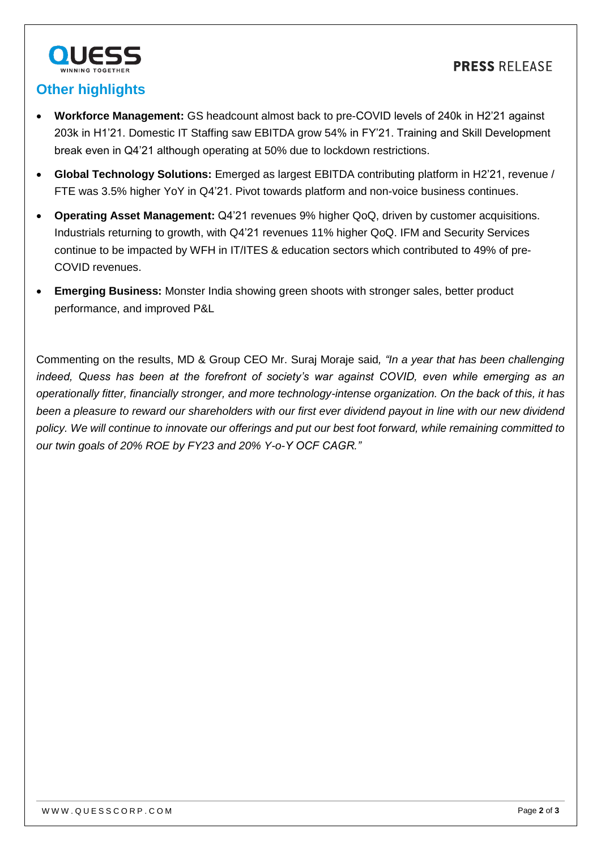

## **Other highlights**

- **Workforce Management:** GS headcount almost back to pre-COVID levels of 240k in H2'21 against 203k in H1'21. Domestic IT Staffing saw EBITDA grow 54% in FY'21. Training and Skill Development break even in Q4'21 although operating at 50% due to lockdown restrictions.
- **Global Technology Solutions:** Emerged as largest EBITDA contributing platform in H2'21, revenue / FTE was 3.5% higher YoY in Q4'21. Pivot towards platform and non-voice business continues.
- **Operating Asset Management:** Q4'21 revenues 9% higher QoQ, driven by customer acquisitions. Industrials returning to growth, with Q4'21 revenues 11% higher QoQ. IFM and Security Services continue to be impacted by WFH in IT/ITES & education sectors which contributed to 49% of pre-COVID revenues.
- **Emerging Business:** Monster India showing green shoots with stronger sales, better product performance, and improved P&L

Commenting on the results, MD & Group CEO Mr. Suraj Moraje said*, "In a year that has been challenging indeed, Quess has been at the forefront of society's war against COVID, even while emerging as an operationally fitter, financially stronger, and more technology-intense organization. On the back of this, it has been a pleasure to reward our shareholders with our first ever dividend payout in line with our new dividend policy. We will continue to innovate our offerings and put our best foot forward, while remaining committed to our twin goals of 20% ROE by FY23 and 20% Y-o-Y OCF CAGR."*